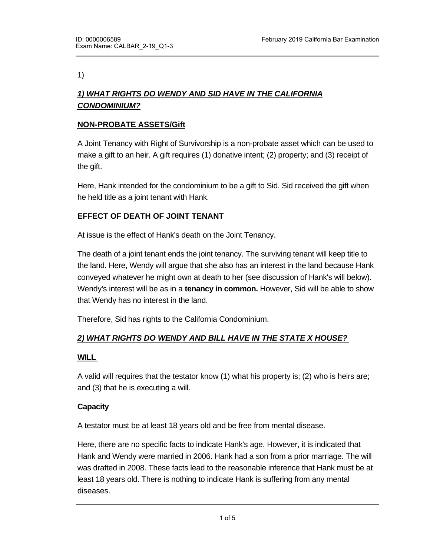1)

# *1) WHAT RIGHTS DO WENDY AND SID HAVE IN THE CALIFORNIA CONDOMINIUM?*

### **NON-PROBATE ASSETS/Gift**

A Joint Tenancy with Right of Survivorship is a non-probate asset which can be used to make a gift to an heir. A gift requires (1) donative intent; (2) property; and (3) receipt of the gift.

Here, Hank intended for the condominium to be a gift to Sid. Sid received the gift when he held title as a joint tenant with Hank.

# **EFFECT OF DEATH OF JOINT TENANT**

At issue is the effect of Hank's death on the Joint Tenancy.

The death of a joint tenant ends the joint tenancy. The surviving tenant will keep title to the land. Here, Wendy will argue that she also has an interest in the land because Hank conveyed whatever he might own at death to her (see discussion of Hank's will below). Wendy's interest will be as in a **tenancy in common.** However, Sid will be able to show that Wendy has no interest in the land.

Therefore, Sid has rights to the California Condominium.

# *2) WHAT RIGHTS DO WENDY AND BILL HAVE IN THE STATE X HOUSE?*

### **WILL**

A valid will requires that the testator know (1) what his property is; (2) who is heirs are; and (3) that he is executing a will.

### **Capacity**

A testator must be at least 18 years old and be free from mental disease.

Here, there are no specific facts to indicate Hank's age. However, it is indicated that Hank and Wendy were married in 2006. Hank had a son from a prior marriage. The will was drafted in 2008. These facts lead to the reasonable inference that Hank must be at least 18 years old. There is nothing to indicate Hank is suffering from any mental diseases.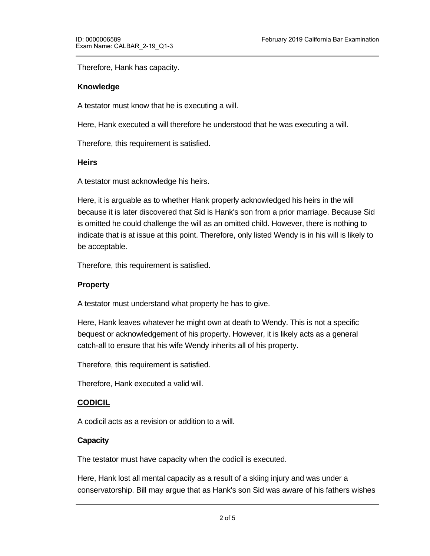Therefore, Hank has capacity.

#### **Knowledge**

A testator must know that he is executing a will.

Here, Hank executed a will therefore he understood that he was executing a will.

Therefore, this requirement is satisfied.

#### **Heirs**

A testator must acknowledge his heirs.

Here, it is arguable as to whether Hank properly acknowledged his heirs in the will because it is later discovered that Sid is Hank's son from a prior marriage. Because Sid is omitted he could challenge the will as an omitted child. However, there is nothing to indicate that is at issue at this point. Therefore, only listed Wendy is in his will is likely to be acceptable.

Therefore, this requirement is satisfied.

### **Property**

A testator must understand what property he has to give.

Here, Hank leaves whatever he might own at death to Wendy. This is not a specific bequest or acknowledgement of his property. However, it is likely acts as a general catch-all to ensure that his wife Wendy inherits all of his property.

Therefore, this requirement is satisfied.

Therefore, Hank executed a valid will.

### **CODICIL**

A codicil acts as a revision or addition to a will.

#### **Capacity**

The testator must have capacity when the codicil is executed.

Here, Hank lost all mental capacity as a result of a skiing injury and was under a conservatorship. Bill may argue that as Hank's son Sid was aware of his fathers wishes

and knew that Hank wanted bill to have a one-half interest in the State X house.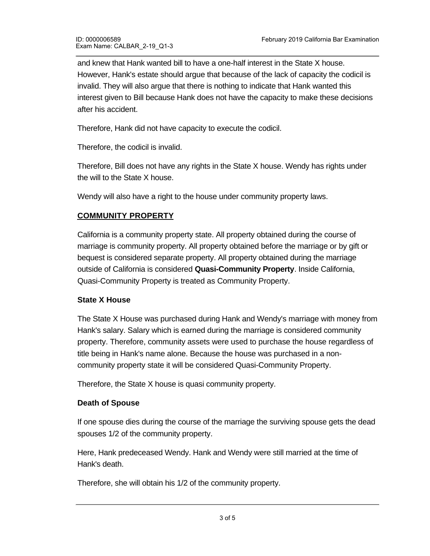and knew that Hank wanted bill to have a one-half interest in the State X house. However, Hank's estate should argue that because of the lack of capacity the codicil is invalid. They will also argue that there is nothing to indicate that Hank wanted this interest given to Bill because Hank does not have the capacity to make these decisions after his accident.

Therefore, Hank did not have capacity to execute the codicil.

Therefore, the codicil is invalid.

Therefore, Bill does not have any rights in the State X house. Wendy has rights under the will to the State X house.

Wendy will also have a right to the house under community property laws.

# **COMMUNITY PROPERTY**

California is a community property state. All property obtained during the course of marriage is community property. All property obtained before the marriage or by gift or bequest is considered separate property. All property obtained during the marriage outside of California is considered **Quasi-Community Property**. Inside California, Quasi-Community Property is treated as Community Property.

### **State X House**

The State X House was purchased during Hank and Wendy's marriage with money from Hank's salary. Salary which is earned during the marriage is considered community property. Therefore, community assets were used to purchase the house regardless of title being in Hank's name alone. Because the house was purchased in a noncommunity property state it will be considered Quasi-Community Property.

Therefore, the State X house is quasi community property.

### **Death of Spouse**

If one spouse dies during the course of the marriage the surviving spouse gets the dead spouses 1/2 of the community property.

Here, Hank predeceased Wendy. Hank and Wendy were still married at the time of Hank's death.

Therefore, she will obtain his 1/2 of the community property.

Therefore, Wendy also has rights under community property law to the State X house.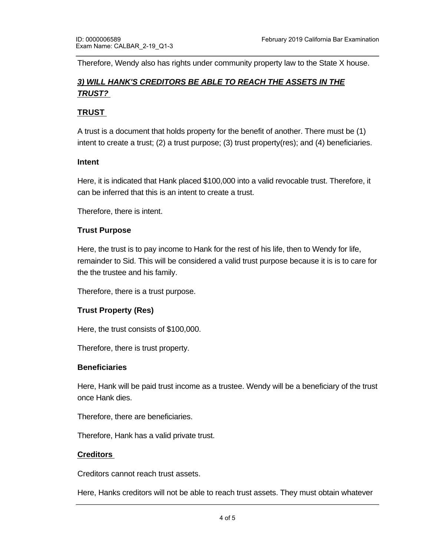Therefore, Wendy also has rights under community property law to the State X house.

# *3) WILL HANK'S CREDITORS BE ABLE TO REACH THE ASSETS IN THE TRUST?*

### **TRUST**

A trust is a document that holds property for the benefit of another. There must be (1) intent to create a trust; (2) a trust purpose; (3) trust property(res); and (4) beneficiaries.

### **Intent**

Here, it is indicated that Hank placed \$100,000 into a valid revocable trust. Therefore, it can be inferred that this is an intent to create a trust.

Therefore, there is intent.

#### **Trust Purpose**

Here, the trust is to pay income to Hank for the rest of his life, then to Wendy for life, remainder to Sid. This will be considered a valid trust purpose because it is is to care for the the trustee and his family.

Therefore, there is a trust purpose.

### **Trust Property (Res)**

Here, the trust consists of \$100,000.

Therefore, there is trust property.

### **Beneficiaries**

Here, Hank will be paid trust income as a trustee. Wendy will be a beneficiary of the trust once Hank dies.

Therefore, there are beneficiaries.

Therefore, Hank has a valid private trust.

### **Creditors**

Creditors cannot reach trust assets.

Here, Hanks creditors will not be able to reach trust assets. They must obtain whatever payment they can from his non-trust assets which are the State X house and California house and California house and<br>They can find they can find the State X house and California house and California house and California ho